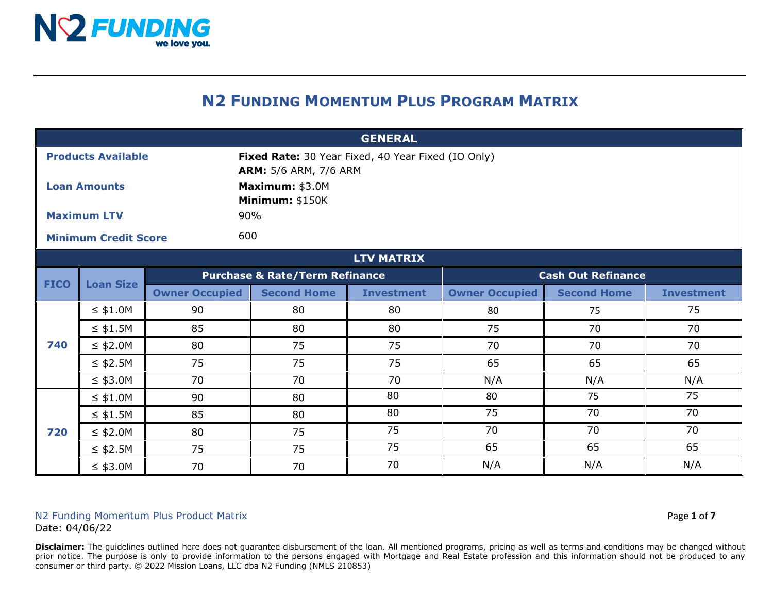

## **N2 FUNDING MOMENTUM PLUS PROGRAM MATRIX**

| <b>GENERAL</b>            |                             |                                                                                    |                    |                   |                           |                    |                   |  |
|---------------------------|-----------------------------|------------------------------------------------------------------------------------|--------------------|-------------------|---------------------------|--------------------|-------------------|--|
| <b>Products Available</b> |                             | Fixed Rate: 30 Year Fixed, 40 Year Fixed (IO Only)<br><b>ARM:</b> 5/6 ARM, 7/6 ARM |                    |                   |                           |                    |                   |  |
| <b>Loan Amounts</b>       |                             | Maximum: \$3.0M<br>Minimum: \$150K                                                 |                    |                   |                           |                    |                   |  |
| <b>Maximum LTV</b>        |                             | 90%                                                                                |                    |                   |                           |                    |                   |  |
|                           | <b>Minimum Credit Score</b> |                                                                                    | 600                |                   |                           |                    |                   |  |
|                           | <b>LTV MATRIX</b>           |                                                                                    |                    |                   |                           |                    |                   |  |
| <b>FICO</b>               | <b>Loan Size</b>            | <b>Purchase &amp; Rate/Term Refinance</b>                                          |                    |                   | <b>Cash Out Refinance</b> |                    |                   |  |
|                           |                             | <b>Owner Occupied</b>                                                              | <b>Second Home</b> | <b>Investment</b> | <b>Owner Occupied</b>     | <b>Second Home</b> | <b>Investment</b> |  |
|                           | $\leq$ \$1.0M               | 90                                                                                 | 80                 | 80                | 80                        | 75                 | 75                |  |
|                           | $\leq$ \$1.5M               | 85                                                                                 | 80                 | 80                | 75                        | 70                 | 70                |  |
| 740                       | $\leq$ \$2.0M               | 80                                                                                 | 75                 | 75                | 70                        | 70                 | 70                |  |
|                           | $\leq$ \$2.5M               | 75                                                                                 | 75                 | 75                | 65                        | 65                 | 65                |  |
|                           | $\leq$ \$3.0M               | 70                                                                                 | 70                 | 70                | N/A                       | N/A                | N/A               |  |
|                           | $\leq$ \$1.0M               | 90                                                                                 | 80                 | 80                | 80                        | 75                 | 75                |  |
| 720                       | $\leq$ \$1.5M               | 85                                                                                 | 80                 | 80                | 75                        | 70                 | 70                |  |
|                           | $\leq$ \$2.0M               | 80                                                                                 | 75                 | 75                | 70                        | 70                 | 70                |  |
|                           | $\leq$ \$2.5M               | 75                                                                                 | 75                 | 75                | 65                        | 65                 | 65                |  |
|                           | $\leq$ \$3.0M               | 70                                                                                 | 70                 | 70                | N/A                       | N/A                | N/A               |  |

## N2 Funding Momentum Plus Product Matrix **Page 1** of **7** and **Page 1** of **7** Date: 04/06/22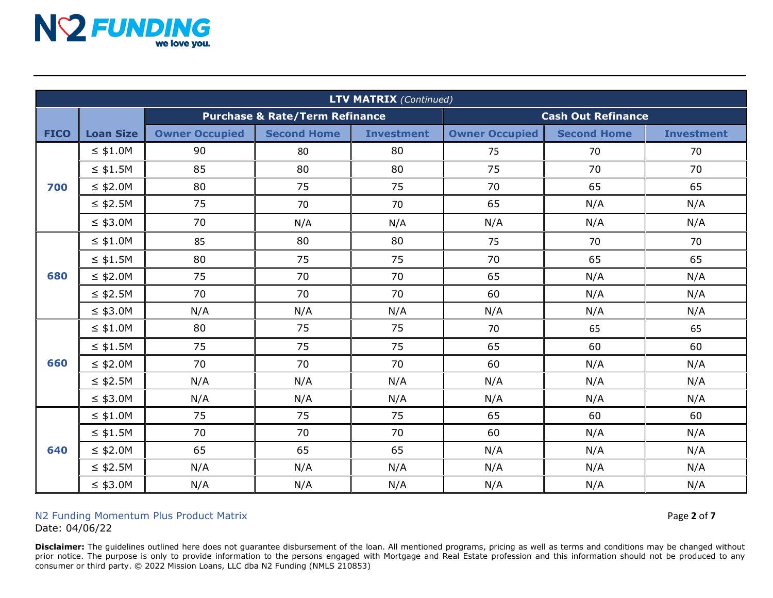

| <b>LTV MATRIX (Continued)</b> |                  |                                           |                    |                   |                           |                    |                   |
|-------------------------------|------------------|-------------------------------------------|--------------------|-------------------|---------------------------|--------------------|-------------------|
|                               |                  | <b>Purchase &amp; Rate/Term Refinance</b> |                    |                   | <b>Cash Out Refinance</b> |                    |                   |
| <b>FICO</b>                   | <b>Loan Size</b> | <b>Owner Occupied</b>                     | <b>Second Home</b> | <b>Investment</b> | <b>Owner Occupied</b>     | <b>Second Home</b> | <b>Investment</b> |
|                               | $\leq$ \$1.0M    | 90                                        | 80                 | 80                | 75                        | 70                 | 70                |
|                               | $\leq$ \$1.5M    | 85                                        | 80                 | 80                | 75                        | 70                 | 70                |
| 700                           | $\leq$ \$2.0M    | 80                                        | 75                 | 75                | 70                        | 65                 | 65                |
|                               | $\leq$ \$2.5M    | 75                                        | 70                 | 70                | 65                        | N/A                | N/A               |
|                               | $\leq$ \$3.0M    | 70                                        | N/A                | N/A               | N/A                       | N/A                | N/A               |
|                               | $\leq$ \$1.0M    | 85                                        | 80                 | 80                | 75                        | 70                 | 70                |
| 680                           | $\leq$ \$1.5M    | 80                                        | 75                 | 75                | 70                        | 65                 | 65                |
|                               | $\leq$ \$2.0M    | 75                                        | 70                 | 70                | 65                        | N/A                | N/A               |
|                               | $\leq$ \$2.5M    | 70                                        | 70                 | 70                | 60                        | N/A                | N/A               |
|                               | $\leq$ \$3.0M    | N/A                                       | N/A                | N/A               | N/A                       | N/A                | N/A               |
| 660                           | $\leq$ \$1.0M    | 80                                        | 75                 | 75                | 70                        | 65                 | 65                |
|                               | $\leq$ \$1.5M    | 75                                        | 75                 | 75                | 65                        | 60                 | 60                |
|                               | $\leq$ \$2.0M    | 70                                        | 70                 | 70                | 60                        | N/A                | N/A               |
|                               | $\leq$ \$2.5M    | N/A                                       | N/A                | N/A               | N/A                       | N/A                | N/A               |
|                               | $\leq$ \$3.0M    | N/A                                       | N/A                | N/A               | N/A                       | N/A                | N/A               |
| 640                           | $\leq$ \$1.0M    | 75                                        | 75                 | 75                | 65                        | 60                 | 60                |
|                               | $\leq$ \$1.5M    | 70                                        | 70                 | 70                | 60                        | N/A                | N/A               |
|                               | $\leq$ \$2.0M    | 65                                        | 65                 | 65                | N/A                       | N/A                | N/A               |
|                               | $\leq$ \$2.5M    | N/A                                       | N/A                | N/A               | N/A                       | N/A                | N/A               |
|                               | $\leq$ \$3.0M    | N/A                                       | N/A                | N/A               | N/A                       | N/A                | N/A               |

## N2 Funding Momentum Plus Product Matrix Page **2** of **7**

Date: 04/06/22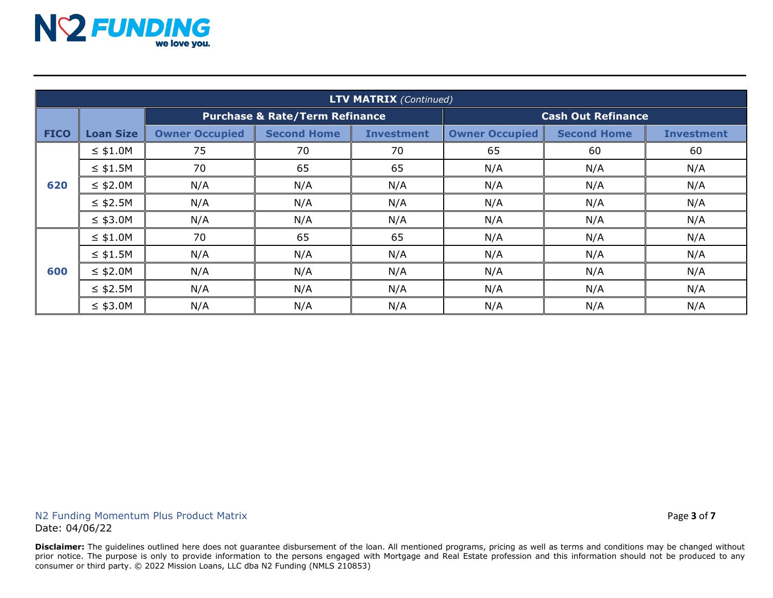

| <b>LTV MATRIX (Continued)</b> |                  |                                           |                    |                   |                           |                    |                   |
|-------------------------------|------------------|-------------------------------------------|--------------------|-------------------|---------------------------|--------------------|-------------------|
|                               |                  | <b>Purchase &amp; Rate/Term Refinance</b> |                    |                   | <b>Cash Out Refinance</b> |                    |                   |
| <b>FICO</b>                   | <b>Loan Size</b> | <b>Owner Occupied</b>                     | <b>Second Home</b> | <b>Investment</b> | <b>Owner Occupied</b>     | <b>Second Home</b> | <b>Investment</b> |
| 620                           | $\leq$ \$1.0M    | 75                                        | 70                 | 70                | 65                        | 60                 | 60                |
|                               | $\leq$ \$1.5M    | 70                                        | 65                 | 65                | N/A                       | N/A                | N/A               |
|                               | $\leq$ \$2.0M    | N/A                                       | N/A                | N/A               | N/A                       | N/A                | N/A               |
|                               | $\leq$ \$2.5M    | N/A                                       | N/A                | N/A               | N/A                       | N/A                | N/A               |
|                               | $\leq$ \$3.0M    | N/A                                       | N/A                | N/A               | N/A                       | N/A                | N/A               |
| 600                           | $\leq$ \$1.0M    | 70                                        | 65                 | 65                | N/A                       | N/A                | N/A               |
|                               | $\leq$ \$1.5M    | N/A                                       | N/A                | N/A               | N/A                       | N/A                | N/A               |
|                               | $\leq$ \$2.0M    | N/A                                       | N/A                | N/A               | N/A                       | N/A                | N/A               |
|                               | $\leq$ \$2.5M    | N/A                                       | N/A                | N/A               | N/A                       | N/A                | N/A               |
|                               | $\leq$ \$3.0M    | N/A                                       | N/A                | N/A               | N/A                       | N/A                | N/A               |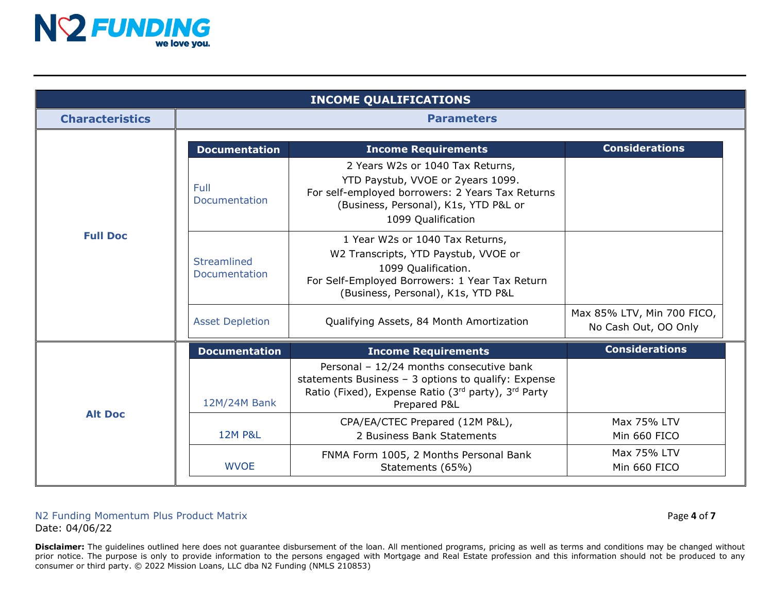

| <b>INCOME QUALIFICATIONS</b> |                              |                                                                                                                                                                                          |                                                    |  |  |
|------------------------------|------------------------------|------------------------------------------------------------------------------------------------------------------------------------------------------------------------------------------|----------------------------------------------------|--|--|
| <b>Characteristics</b>       | <b>Parameters</b>            |                                                                                                                                                                                          |                                                    |  |  |
|                              | <b>Documentation</b>         | <b>Income Requirements</b>                                                                                                                                                               | <b>Considerations</b>                              |  |  |
|                              | Full<br>Documentation        | 2 Years W2s or 1040 Tax Returns,<br>YTD Paystub, VVOE or 2years 1099.<br>For self-employed borrowers: 2 Years Tax Returns<br>(Business, Personal), K1s, YTD P&L or<br>1099 Qualification |                                                    |  |  |
| <b>Full Doc</b>              | Streamlined<br>Documentation | 1 Year W2s or 1040 Tax Returns,<br>W2 Transcripts, YTD Paystub, VVOE or<br>1099 Qualification.<br>For Self-Employed Borrowers: 1 Year Tax Return<br>(Business, Personal), K1s, YTD P&L   |                                                    |  |  |
|                              | <b>Asset Depletion</b>       | Qualifying Assets, 84 Month Amortization                                                                                                                                                 | Max 85% LTV, Min 700 FICO,<br>No Cash Out, OO Only |  |  |
|                              | <b>Documentation</b>         | <b>Income Requirements</b>                                                                                                                                                               | <b>Considerations</b>                              |  |  |
|                              | 12M/24M Bank                 | Personal - 12/24 months consecutive bank<br>statements Business - 3 options to qualify: Expense<br>Ratio (Fixed), Expense Ratio (3rd party), 3rd Party<br>Prepared P&L                   |                                                    |  |  |
| <b>Alt Doc</b>               | <b>12M P&amp;L</b>           | CPA/EA/CTEC Prepared (12M P&L),<br>2 Business Bank Statements                                                                                                                            | Max 75% LTV<br>Min 660 FICO                        |  |  |
|                              | <b>WVOE</b>                  | FNMA Form 1005, 2 Months Personal Bank<br>Statements (65%)                                                                                                                               | Max 75% LTV<br>Min 660 FICO                        |  |  |

## N2 Funding Momentum Plus Product Matrix Page **4** of **7** Date: 04/06/22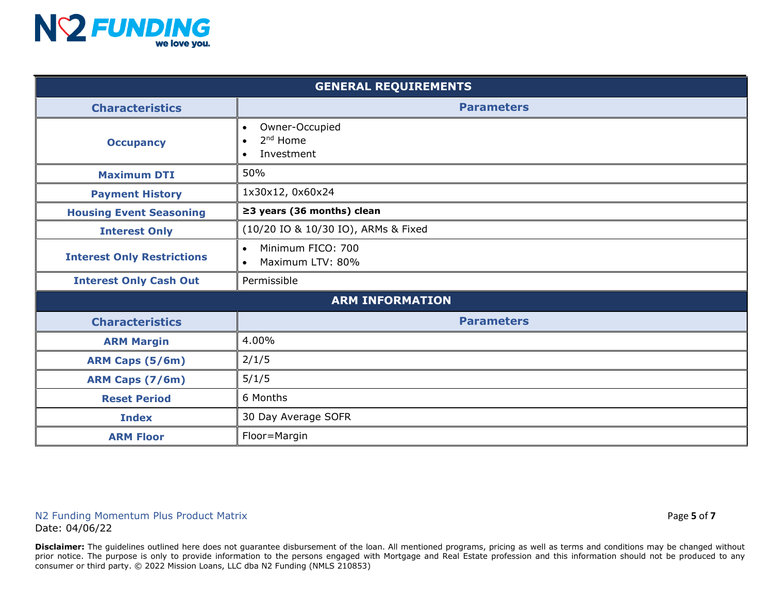

| <b>GENERAL REQUIREMENTS</b>       |                                                                                |  |  |  |
|-----------------------------------|--------------------------------------------------------------------------------|--|--|--|
| <b>Characteristics</b>            | <b>Parameters</b>                                                              |  |  |  |
| <b>Occupancy</b>                  | Owner-Occupied<br>$\bullet$<br>2 <sup>nd</sup> Home<br>$\bullet$<br>Investment |  |  |  |
| <b>Maximum DTI</b>                | 50%                                                                            |  |  |  |
| <b>Payment History</b>            | 1x30x12, 0x60x24                                                               |  |  |  |
| <b>Housing Event Seasoning</b>    | $\geq$ 3 years (36 months) clean                                               |  |  |  |
| <b>Interest Only</b>              | (10/20 IO & 10/30 IO), ARMs & Fixed                                            |  |  |  |
| <b>Interest Only Restrictions</b> | Minimum FICO: 700<br>$\bullet$<br>Maximum LTV: 80%<br>$\bullet$                |  |  |  |
| <b>Interest Only Cash Out</b>     | Permissible                                                                    |  |  |  |
| <b>ARM INFORMATION</b>            |                                                                                |  |  |  |
| <b>Characteristics</b>            | <b>Parameters</b>                                                              |  |  |  |
| <b>ARM Margin</b>                 | 4.00%                                                                          |  |  |  |
| <b>ARM Caps (5/6m)</b>            | 2/1/5                                                                          |  |  |  |
| ARM Caps (7/6m)                   | 5/1/5                                                                          |  |  |  |
| <b>Reset Period</b>               | 6 Months                                                                       |  |  |  |
| <b>Index</b>                      | 30 Day Average SOFR                                                            |  |  |  |
| <b>ARM Floor</b>                  | Floor=Margin                                                                   |  |  |  |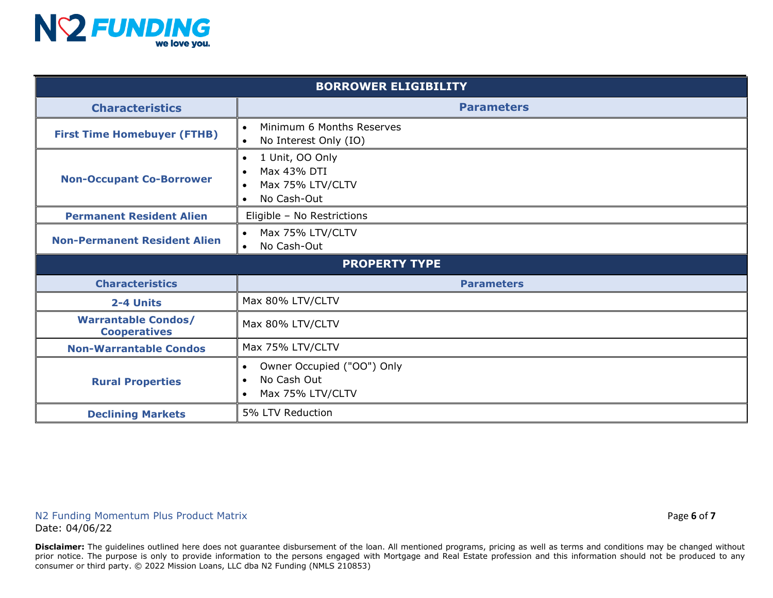

| <b>BORROWER ELIGIBILITY</b>                       |                                                                                                                       |  |  |  |
|---------------------------------------------------|-----------------------------------------------------------------------------------------------------------------------|--|--|--|
| <b>Characteristics</b>                            | <b>Parameters</b>                                                                                                     |  |  |  |
| <b>First Time Homebuyer (FTHB)</b>                | Minimum 6 Months Reserves<br>$\bullet$<br>No Interest Only (IO)                                                       |  |  |  |
| <b>Non-Occupant Co-Borrower</b>                   | 1 Unit, OO Only<br>$\bullet$<br>Max 43% DTI<br>$\bullet$<br>Max 75% LTV/CLTV<br>$\bullet$<br>No Cash-Out<br>$\bullet$ |  |  |  |
| <b>Permanent Resident Alien</b>                   | Eligible - No Restrictions                                                                                            |  |  |  |
| <b>Non-Permanent Resident Alien</b>               | Max 75% LTV/CLTV<br>No Cash-Out<br>$\bullet$                                                                          |  |  |  |
| <b>PROPERTY TYPE</b>                              |                                                                                                                       |  |  |  |
| <b>Characteristics</b>                            | <b>Parameters</b>                                                                                                     |  |  |  |
| 2-4 Units                                         | Max 80% LTV/CLTV                                                                                                      |  |  |  |
| <b>Warrantable Condos/</b><br><b>Cooperatives</b> | Max 80% LTV/CLTV                                                                                                      |  |  |  |
| <b>Non-Warrantable Condos</b>                     | Max 75% LTV/CLTV                                                                                                      |  |  |  |
| <b>Rural Properties</b>                           | Owner Occupied ("OO") Only<br>$\bullet$<br>No Cash Out<br>$\bullet$<br>Max 75% LTV/CLTV<br>$\bullet$                  |  |  |  |
| <b>Declining Markets</b>                          | 5% LTV Reduction                                                                                                      |  |  |  |